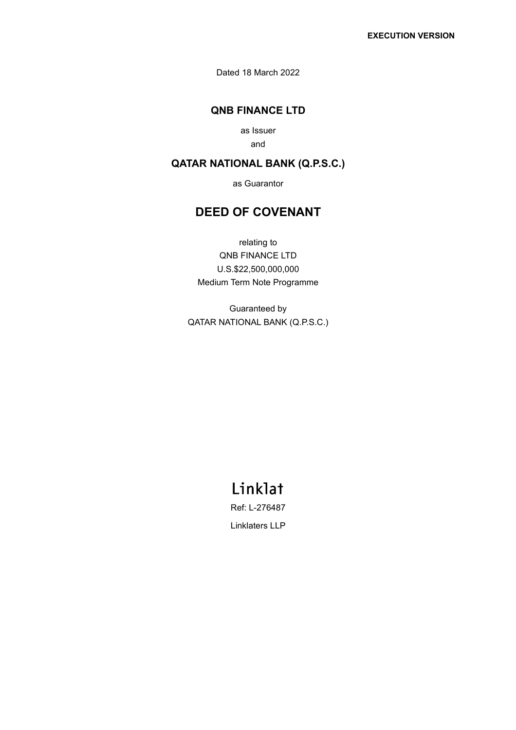Dated 18 March 2022

### **QNB FINANCE LTD**

as Issuer and

### **QATAR NATIONAL BANK (Q.P.S.C.)**

as Guarantor

## **DEED OF COVENANT**

relating to QNB FINANCE LTD U.S.\$22,500,000,000 Medium Term Note Programme

Guaranteed by QATAR NATIONAL BANK (Q.P.S.C.)

# Linklat

Ref: L-276487

Linklaters LLP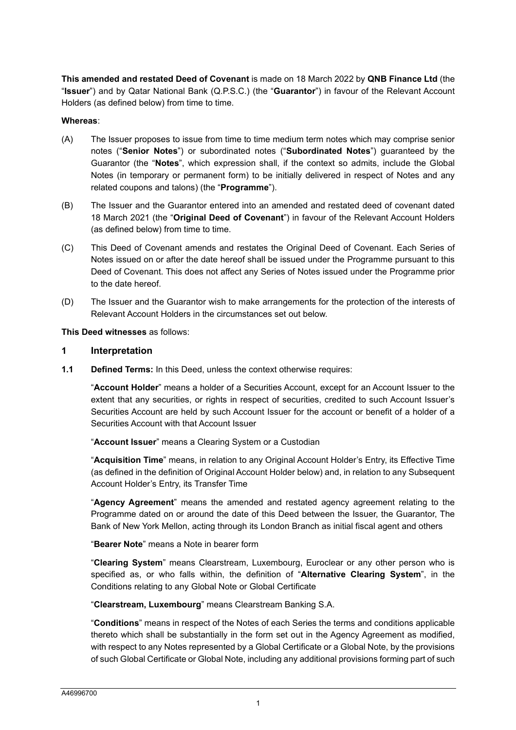**This amended and restated Deed of Covenant** is made on 18 March 2022 by **QNB Finance Ltd** (the "**Issuer**") and by Qatar National Bank (Q.P.S.C.) (the "**Guarantor**") in favour of the Relevant Account Holders (as defined below) from time to time.

#### **Whereas**:

- (A) The Issuer proposes to issue from time to time medium term notes which may comprise senior notes ("**Senior Notes**") or subordinated notes ("**Subordinated Notes**") guaranteed by the Guarantor (the "**Notes**", which expression shall, if the context so admits, include the Global Notes (in temporary or permanent form) to be initially delivered in respect of Notes and any related coupons and talons) (the "**Programme**").
- (B) The Issuer and the Guarantor entered into an amended and restated deed of covenant dated 18 March 2021 (the "**Original Deed of Covenant**") in favour of the Relevant Account Holders (as defined below) from time to time.
- (C) This Deed of Covenant amends and restates the Original Deed of Covenant. Each Series of Notes issued on or after the date hereof shall be issued under the Programme pursuant to this Deed of Covenant. This does not affect any Series of Notes issued under the Programme prior to the date hereof.
- (D) The Issuer and the Guarantor wish to make arrangements for the protection of the interests of Relevant Account Holders in the circumstances set out below.

**This Deed witnesses** as follows:

#### **1 Interpretation**

**1.1 Defined Terms:** In this Deed, unless the context otherwise requires:

"**Account Holder**" means a holder of a Securities Account, except for an Account Issuer to the extent that any securities, or rights in respect of securities, credited to such Account Issuer's Securities Account are held by such Account Issuer for the account or benefit of a holder of a Securities Account with that Account Issuer

"**Account Issuer**" means a Clearing System or a Custodian

"**Acquisition Time**" means, in relation to any Original Account Holder's Entry, its Effective Time (as defined in the definition of Original Account Holder below) and, in relation to any Subsequent Account Holder's Entry, its Transfer Time

"**Agency Agreement**" means the amended and restated agency agreement relating to the Programme dated on or around the date of this Deed between the Issuer, the Guarantor, The Bank of New York Mellon, acting through its London Branch as initial fiscal agent and others

"**Bearer Note**" means a Note in bearer form

"**Clearing System**" means Clearstream, Luxembourg, Euroclear or any other person who is specified as, or who falls within, the definition of "**Alternative Clearing System**", in the Conditions relating to any Global Note or Global Certificate

"**Clearstream, Luxembourg**" means Clearstream Banking S.A.

"**Conditions**" means in respect of the Notes of each Series the terms and conditions applicable thereto which shall be substantially in the form set out in the Agency Agreement as modified, with respect to any Notes represented by a Global Certificate or a Global Note, by the provisions of such Global Certificate or Global Note, including any additional provisions forming part of such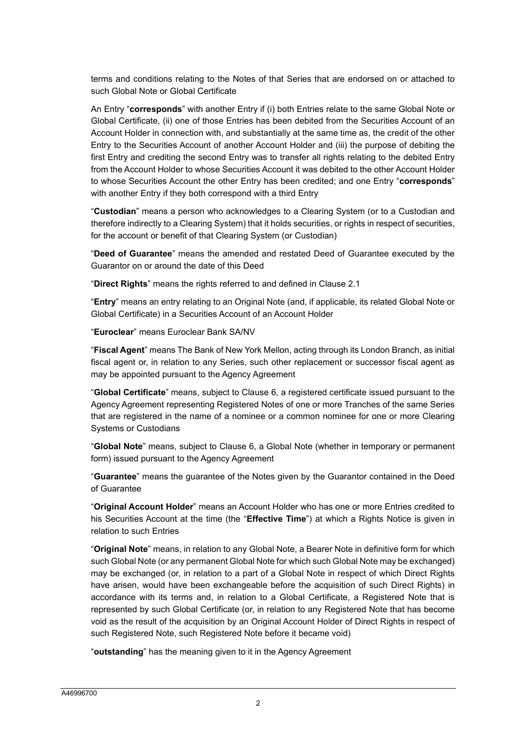terms and conditions relating to the Notes of that Series that are endorsed on or attached to such Global Note or Global Certificate

An Entry "**corresponds**" with another Entry if (i) both Entries relate to the same Global Note or Global Certificate, (ii) one of those Entries has been debited from the Securities Account of an Account Holder in connection with, and substantially at the same time as, the credit of the other Entry to the Securities Account of another Account Holder and (iii) the purpose of debiting the first Entry and crediting the second Entry was to transfer all rights relating to the debited Entry from the Account Holder to whose Securities Account it was debited to the other Account Holder to whose Securities Account the other Entry has been credited; and one Entry "**corresponds**" with another Entry if they both correspond with a third Entry

"**Custodian**" means a person who acknowledges to a Clearing System (or to a Custodian and therefore indirectly to a Clearing System) that it holds securities, or rights in respect of securities, for the account or benefit of that Clearing System (or Custodian)

"**Deed of Guarantee**" means the amended and restated Deed of Guarantee executed by the Guarantor on or around the date of this Deed

"**Direct Rights**" means the rights referred to and defined in Clause 2.1

"**Entry**" means an entry relating to an Original Note (and, if applicable, its related Global Note or Global Certificate) in a Securities Account of an Account Holder

"**Euroclear**" means Euroclear Bank SA/NV

"**Fiscal Agent**" means The Bank of New York Mellon, acting through its London Branch, as initial fiscal agent or, in relation to any Series, such other replacement or successor fiscal agent as may be appointed pursuant to the Agency Agreement

"**Global Certificate**" means, subject to Clause 6, a registered certificate issued pursuant to the Agency Agreement representing Registered Notes of one or more Tranches of the same Series that are registered in the name of a nominee or a common nominee for one or more Clearing Systems or Custodians

"**Global Note**" means, subject to Clause 6, a Global Note (whether in temporary or permanent form) issued pursuant to the Agency Agreement

"**Guarantee**" means the guarantee of the Notes given by the Guarantor contained in the Deed of Guarantee

"**Original Account Holder**" means an Account Holder who has one or more Entries credited to his Securities Account at the time (the "**Effective Time**") at which a Rights Notice is given in relation to such Entries

"**Original Note**" means, in relation to any Global Note, a Bearer Note in definitive form for which such Global Note (or any permanent Global Note for which such Global Note may be exchanged) may be exchanged (or, in relation to a part of a Global Note in respect of which Direct Rights have arisen, would have been exchangeable before the acquisition of such Direct Rights) in accordance with its terms and, in relation to a Global Certificate, a Registered Note that is represented by such Global Certificate (or, in relation to any Registered Note that has become void as the result of the acquisition by an Original Account Holder of Direct Rights in respect of such Registered Note, such Registered Note before it became void)

"**outstanding**" has the meaning given to it in the Agency Agreement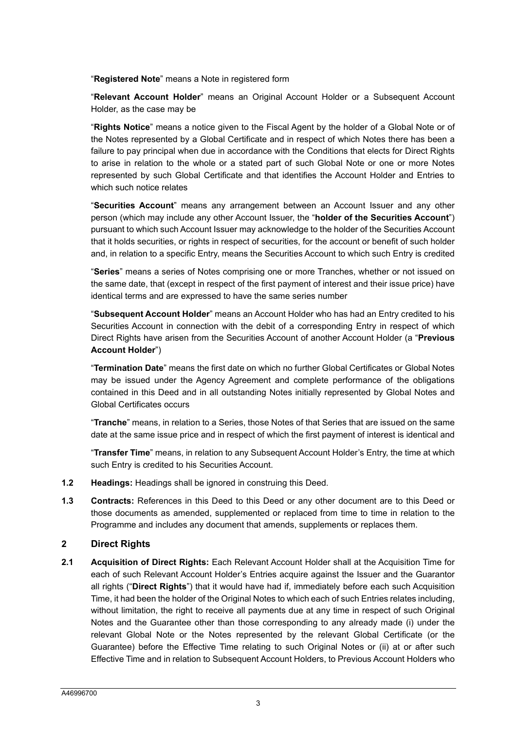"**Registered Note**" means a Note in registered form

"**Relevant Account Holder**" means an Original Account Holder or a Subsequent Account Holder, as the case may be

"**Rights Notice**" means a notice given to the Fiscal Agent by the holder of a Global Note or of the Notes represented by a Global Certificate and in respect of which Notes there has been a failure to pay principal when due in accordance with the Conditions that elects for Direct Rights to arise in relation to the whole or a stated part of such Global Note or one or more Notes represented by such Global Certificate and that identifies the Account Holder and Entries to which such notice relates

"**Securities Account**" means any arrangement between an Account Issuer and any other person (which may include any other Account Issuer, the "**holder of the Securities Account**") pursuant to which such Account Issuer may acknowledge to the holder of the Securities Account that it holds securities, or rights in respect of securities, for the account or benefit of such holder and, in relation to a specific Entry, means the Securities Account to which such Entry is credited

"**Series**" means a series of Notes comprising one or more Tranches, whether or not issued on the same date, that (except in respect of the first payment of interest and their issue price) have identical terms and are expressed to have the same series number

"**Subsequent Account Holder**" means an Account Holder who has had an Entry credited to his Securities Account in connection with the debit of a corresponding Entry in respect of which Direct Rights have arisen from the Securities Account of another Account Holder (a "**Previous Account Holder**")

"**Termination Date**" means the first date on which no further Global Certificates or Global Notes may be issued under the Agency Agreement and complete performance of the obligations contained in this Deed and in all outstanding Notes initially represented by Global Notes and Global Certificates occurs

"**Tranche**" means, in relation to a Series, those Notes of that Series that are issued on the same date at the same issue price and in respect of which the first payment of interest is identical and

"**Transfer Time**" means, in relation to any Subsequent Account Holder's Entry, the time at which such Entry is credited to his Securities Account.

- **1.2 Headings:** Headings shall be ignored in construing this Deed.
- **1.3 Contracts:** References in this Deed to this Deed or any other document are to this Deed or those documents as amended, supplemented or replaced from time to time in relation to the Programme and includes any document that amends, supplements or replaces them.

#### **2 Direct Rights**

**2.1 Acquisition of Direct Rights:** Each Relevant Account Holder shall at the Acquisition Time for each of such Relevant Account Holder's Entries acquire against the Issuer and the Guarantor all rights ("**Direct Rights**") that it would have had if, immediately before each such Acquisition Time, it had been the holder of the Original Notes to which each of such Entries relates including, without limitation, the right to receive all payments due at any time in respect of such Original Notes and the Guarantee other than those corresponding to any already made (i) under the relevant Global Note or the Notes represented by the relevant Global Certificate (or the Guarantee) before the Effective Time relating to such Original Notes or (ii) at or after such Effective Time and in relation to Subsequent Account Holders, to Previous Account Holders who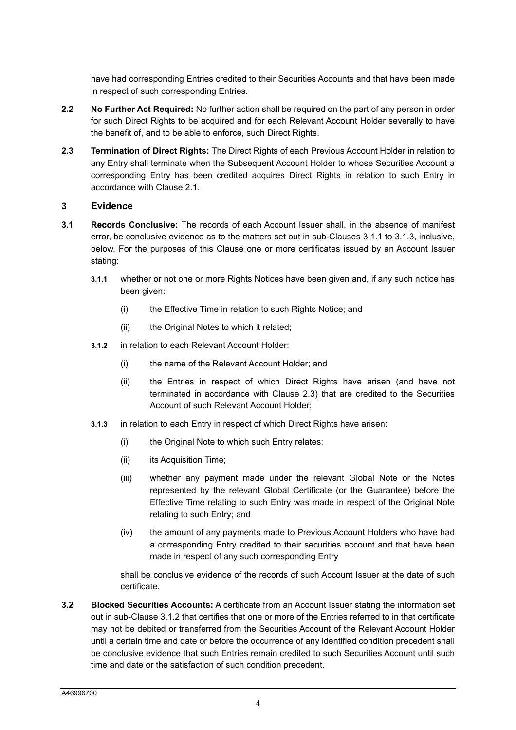have had corresponding Entries credited to their Securities Accounts and that have been made in respect of such corresponding Entries.

- **2.2 No Further Act Required:** No further action shall be required on the part of any person in order for such Direct Rights to be acquired and for each Relevant Account Holder severally to have the benefit of, and to be able to enforce, such Direct Rights.
- **2.3 Termination of Direct Rights:** The Direct Rights of each Previous Account Holder in relation to any Entry shall terminate when the Subsequent Account Holder to whose Securities Account a corresponding Entry has been credited acquires Direct Rights in relation to such Entry in accordance with Clause 2.1.

#### **3 Evidence**

- **3.1 Records Conclusive:** The records of each Account Issuer shall, in the absence of manifest error, be conclusive evidence as to the matters set out in sub-Clauses 3.1.1 to 3.1.3, inclusive, below. For the purposes of this Clause one or more certificates issued by an Account Issuer stating:
	- **3.1.1** whether or not one or more Rights Notices have been given and, if any such notice has been given:
		- (i) the Effective Time in relation to such Rights Notice; and
		- (ii) the Original Notes to which it related;
	- **3.1.2** in relation to each Relevant Account Holder:
		- (i) the name of the Relevant Account Holder; and
		- (ii) the Entries in respect of which Direct Rights have arisen (and have not terminated in accordance with Clause 2.3) that are credited to the Securities Account of such Relevant Account Holder;
	- **3.1.3** in relation to each Entry in respect of which Direct Rights have arisen:
		- (i) the Original Note to which such Entry relates;
		- (ii) its Acquisition Time;
		- (iii) whether any payment made under the relevant Global Note or the Notes represented by the relevant Global Certificate (or the Guarantee) before the Effective Time relating to such Entry was made in respect of the Original Note relating to such Entry; and
		- (iv) the amount of any payments made to Previous Account Holders who have had a corresponding Entry credited to their securities account and that have been made in respect of any such corresponding Entry

shall be conclusive evidence of the records of such Account Issuer at the date of such certificate.

**3.2 Blocked Securities Accounts:** A certificate from an Account Issuer stating the information set out in sub-Clause 3.1.2 that certifies that one or more of the Entries referred to in that certificate may not be debited or transferred from the Securities Account of the Relevant Account Holder until a certain time and date or before the occurrence of any identified condition precedent shall be conclusive evidence that such Entries remain credited to such Securities Account until such time and date or the satisfaction of such condition precedent.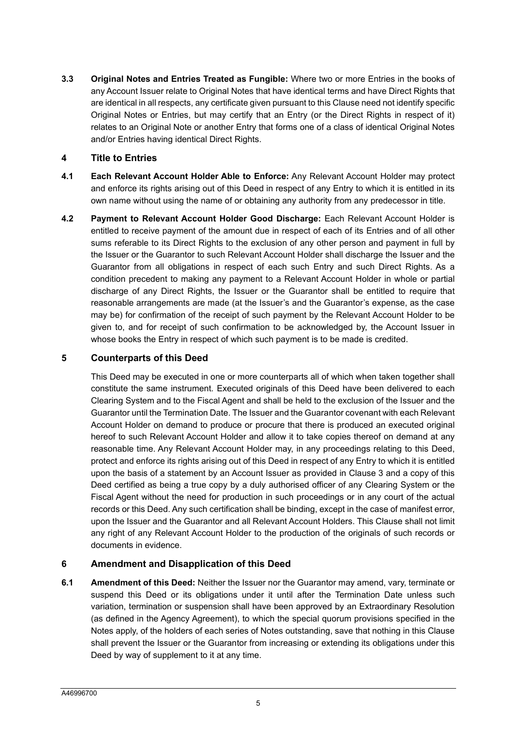**3.3 Original Notes and Entries Treated as Fungible:** Where two or more Entries in the books of any Account Issuer relate to Original Notes that have identical terms and have Direct Rights that are identical in all respects, any certificate given pursuant to this Clause need not identify specific Original Notes or Entries, but may certify that an Entry (or the Direct Rights in respect of it) relates to an Original Note or another Entry that forms one of a class of identical Original Notes and/or Entries having identical Direct Rights.

#### **4 Title to Entries**

- **4.1 Each Relevant Account Holder Able to Enforce:** Any Relevant Account Holder may protect and enforce its rights arising out of this Deed in respect of any Entry to which it is entitled in its own name without using the name of or obtaining any authority from any predecessor in title.
- **4.2 Payment to Relevant Account Holder Good Discharge:** Each Relevant Account Holder is entitled to receive payment of the amount due in respect of each of its Entries and of all other sums referable to its Direct Rights to the exclusion of any other person and payment in full by the Issuer or the Guarantor to such Relevant Account Holder shall discharge the Issuer and the Guarantor from all obligations in respect of each such Entry and such Direct Rights. As a condition precedent to making any payment to a Relevant Account Holder in whole or partial discharge of any Direct Rights, the Issuer or the Guarantor shall be entitled to require that reasonable arrangements are made (at the Issuer's and the Guarantor's expense, as the case may be) for confirmation of the receipt of such payment by the Relevant Account Holder to be given to, and for receipt of such confirmation to be acknowledged by, the Account Issuer in whose books the Entry in respect of which such payment is to be made is credited.

#### **5 Counterparts of this Deed**

This Deed may be executed in one or more counterparts all of which when taken together shall constitute the same instrument. Executed originals of this Deed have been delivered to each Clearing System and to the Fiscal Agent and shall be held to the exclusion of the Issuer and the Guarantor until the Termination Date. The Issuer and the Guarantor covenant with each Relevant Account Holder on demand to produce or procure that there is produced an executed original hereof to such Relevant Account Holder and allow it to take copies thereof on demand at any reasonable time. Any Relevant Account Holder may, in any proceedings relating to this Deed, protect and enforce its rights arising out of this Deed in respect of any Entry to which it is entitled upon the basis of a statement by an Account Issuer as provided in Clause 3 and a copy of this Deed certified as being a true copy by a duly authorised officer of any Clearing System or the Fiscal Agent without the need for production in such proceedings or in any court of the actual records or this Deed. Any such certification shall be binding, except in the case of manifest error, upon the Issuer and the Guarantor and all Relevant Account Holders. This Clause shall not limit any right of any Relevant Account Holder to the production of the originals of such records or documents in evidence.

#### **6 Amendment and Disapplication of this Deed**

**6.1 Amendment of this Deed:** Neither the Issuer nor the Guarantor may amend, vary, terminate or suspend this Deed or its obligations under it until after the Termination Date unless such variation, termination or suspension shall have been approved by an Extraordinary Resolution (as defined in the Agency Agreement), to which the special quorum provisions specified in the Notes apply, of the holders of each series of Notes outstanding, save that nothing in this Clause shall prevent the Issuer or the Guarantor from increasing or extending its obligations under this Deed by way of supplement to it at any time.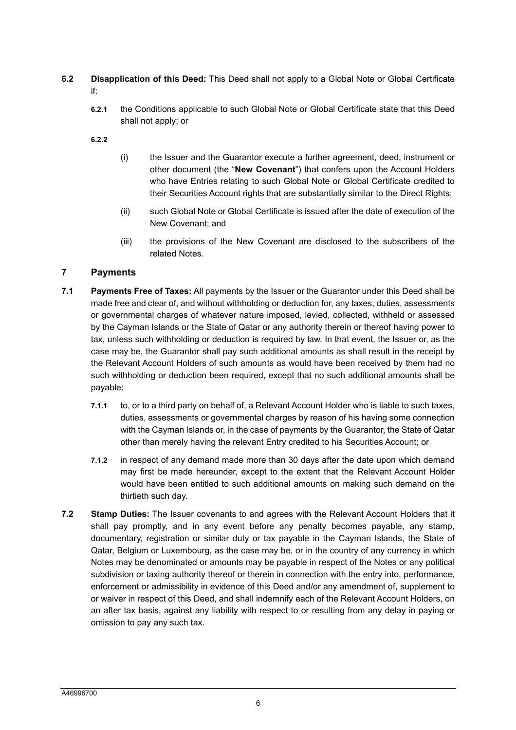- **6.2 Disapplication of this Deed:** This Deed shall not apply to a Global Note or Global Certificate if:
	- **6.2.1** the Conditions applicable to such Global Note or Global Certificate state that this Deed shall not apply; or
	- **6.2.2**
- (i) the Issuer and the Guarantor execute a further agreement, deed, instrument or other document (the "**New Covenant**") that confers upon the Account Holders who have Entries relating to such Global Note or Global Certificate credited to their Securities Account rights that are substantially similar to the Direct Rights;
- (ii) such Global Note or Global Certificate is issued after the date of execution of the New Covenant; and
- (iii) the provisions of the New Covenant are disclosed to the subscribers of the related Notes.

#### **7 Payments**

- **7.1 Payments Free of Taxes:** All payments by the Issuer or the Guarantor under this Deed shall be made free and clear of, and without withholding or deduction for, any taxes, duties, assessments or governmental charges of whatever nature imposed, levied, collected, withheld or assessed by the Cayman Islands or the State of Qatar or any authority therein or thereof having power to tax, unless such withholding or deduction is required by law. In that event, the Issuer or, as the case may be, the Guarantor shall pay such additional amounts as shall result in the receipt by the Relevant Account Holders of such amounts as would have been received by them had no such withholding or deduction been required, except that no such additional amounts shall be payable:
	- **7.1.1** to, or to a third party on behalf of, a Relevant Account Holder who is liable to such taxes, duties, assessments or governmental charges by reason of his having some connection with the Cayman Islands or, in the case of payments by the Guarantor, the State of Qatar other than merely having the relevant Entry credited to his Securities Account; or
	- **7.1.2** in respect of any demand made more than 30 days after the date upon which demand may first be made hereunder, except to the extent that the Relevant Account Holder would have been entitled to such additional amounts on making such demand on the thirtieth such day.
- **7.2 Stamp Duties:** The Issuer covenants to and agrees with the Relevant Account Holders that it shall pay promptly, and in any event before any penalty becomes payable, any stamp, documentary, registration or similar duty or tax payable in the Cayman Islands, the State of Qatar, Belgium or Luxembourg, as the case may be, or in the country of any currency in which Notes may be denominated or amounts may be payable in respect of the Notes or any political subdivision or taxing authority thereof or therein in connection with the entry into, performance, enforcement or admissibility in evidence of this Deed and/or any amendment of, supplement to or waiver in respect of this Deed, and shall indemnify each of the Relevant Account Holders, on an after tax basis, against any liability with respect to or resulting from any delay in paying or omission to pay any such tax.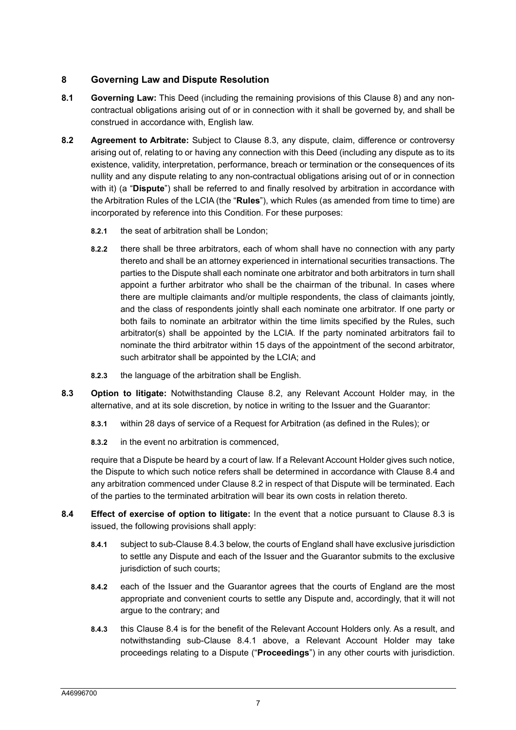#### **8 Governing Law and Dispute Resolution**

- **8.1 Governing Law:** This Deed (including the remaining provisions of this Clause 8) and any noncontractual obligations arising out of or in connection with it shall be governed by, and shall be construed in accordance with, English law.
- **8.2 Agreement to Arbitrate:** Subject to Clause 8.3, any dispute, claim, difference or controversy arising out of, relating to or having any connection with this Deed (including any dispute as to its existence, validity, interpretation, performance, breach or termination or the consequences of its nullity and any dispute relating to any non-contractual obligations arising out of or in connection with it) (a "**Dispute**") shall be referred to and finally resolved by arbitration in accordance with the Arbitration Rules of the LCIA (the "**Rules**"), which Rules (as amended from time to time) are incorporated by reference into this Condition. For these purposes:
	- **8.2.1** the seat of arbitration shall be London;
	- **8.2.2** there shall be three arbitrators, each of whom shall have no connection with any party thereto and shall be an attorney experienced in international securities transactions. The parties to the Dispute shall each nominate one arbitrator and both arbitrators in turn shall appoint a further arbitrator who shall be the chairman of the tribunal. In cases where there are multiple claimants and/or multiple respondents, the class of claimants jointly, and the class of respondents jointly shall each nominate one arbitrator. If one party or both fails to nominate an arbitrator within the time limits specified by the Rules, such arbitrator(s) shall be appointed by the LCIA. If the party nominated arbitrators fail to nominate the third arbitrator within 15 days of the appointment of the second arbitrator, such arbitrator shall be appointed by the LCIA; and
	- **8.2.3** the language of the arbitration shall be English.
- **8.3 Option to litigate:** Notwithstanding Clause 8.2, any Relevant Account Holder may, in the alternative, and at its sole discretion, by notice in writing to the Issuer and the Guarantor:
	- **8.3.1** within 28 days of service of a Request for Arbitration (as defined in the Rules); or
	- **8.3.2** in the event no arbitration is commenced,

require that a Dispute be heard by a court of law. If a Relevant Account Holder gives such notice, the Dispute to which such notice refers shall be determined in accordance with Clause 8.4 and any arbitration commenced under Clause 8.2 in respect of that Dispute will be terminated. Each of the parties to the terminated arbitration will bear its own costs in relation thereto.

- **8.4 Effect of exercise of option to litigate:** In the event that a notice pursuant to Clause 8.3 is issued, the following provisions shall apply:
	- **8.4.1** subject to sub-Clause 8.4.3 below, the courts of England shall have exclusive jurisdiction to settle any Dispute and each of the Issuer and the Guarantor submits to the exclusive jurisdiction of such courts;
	- **8.4.2** each of the Issuer and the Guarantor agrees that the courts of England are the most appropriate and convenient courts to settle any Dispute and, accordingly, that it will not argue to the contrary; and
	- **8.4.3** this Clause 8.4 is for the benefit of the Relevant Account Holders only. As a result, and notwithstanding sub-Clause 8.4.1 above, a Relevant Account Holder may take proceedings relating to a Dispute ("**Proceedings**") in any other courts with jurisdiction.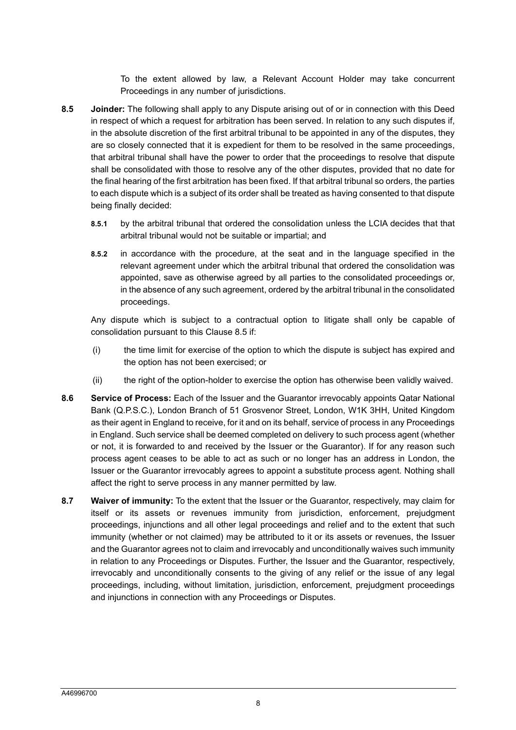To the extent allowed by law, a Relevant Account Holder may take concurrent Proceedings in any number of jurisdictions.

- **8.5 Joinder:** The following shall apply to any Dispute arising out of or in connection with this Deed in respect of which a request for arbitration has been served. In relation to any such disputes if, in the absolute discretion of the first arbitral tribunal to be appointed in any of the disputes, they are so closely connected that it is expedient for them to be resolved in the same proceedings, that arbitral tribunal shall have the power to order that the proceedings to resolve that dispute shall be consolidated with those to resolve any of the other disputes, provided that no date for the final hearing of the first arbitration has been fixed. If that arbitral tribunal so orders, the parties to each dispute which is a subject of its order shall be treated as having consented to that dispute being finally decided:
	- **8.5.1** by the arbitral tribunal that ordered the consolidation unless the LCIA decides that that arbitral tribunal would not be suitable or impartial; and
	- **8.5.2** in accordance with the procedure, at the seat and in the language specified in the relevant agreement under which the arbitral tribunal that ordered the consolidation was appointed, save as otherwise agreed by all parties to the consolidated proceedings or, in the absence of any such agreement, ordered by the arbitral tribunal in the consolidated proceedings.

Any dispute which is subject to a contractual option to litigate shall only be capable of consolidation pursuant to this Clause 8.5 if:

- (i) the time limit for exercise of the option to which the dispute is subject has expired and the option has not been exercised; or
- (ii) the right of the option-holder to exercise the option has otherwise been validly waived.
- **8.6 Service of Process:** Each of the Issuer and the Guarantor irrevocably appoints Qatar National Bank (Q.P.S.C.), London Branch of 51 Grosvenor Street, London, W1K 3HH, United Kingdom as their agent in England to receive, for it and on its behalf, service of process in any Proceedings in England. Such service shall be deemed completed on delivery to such process agent (whether or not, it is forwarded to and received by the Issuer or the Guarantor). If for any reason such process agent ceases to be able to act as such or no longer has an address in London, the Issuer or the Guarantor irrevocably agrees to appoint a substitute process agent. Nothing shall affect the right to serve process in any manner permitted by law.
- **8.7 Waiver of immunity:** To the extent that the Issuer or the Guarantor, respectively, may claim for itself or its assets or revenues immunity from jurisdiction, enforcement, prejudgment proceedings, injunctions and all other legal proceedings and relief and to the extent that such immunity (whether or not claimed) may be attributed to it or its assets or revenues, the Issuer and the Guarantor agrees not to claim and irrevocably and unconditionally waives such immunity in relation to any Proceedings or Disputes. Further, the Issuer and the Guarantor, respectively, irrevocably and unconditionally consents to the giving of any relief or the issue of any legal proceedings, including, without limitation, jurisdiction, enforcement, prejudgment proceedings and injunctions in connection with any Proceedings or Disputes.